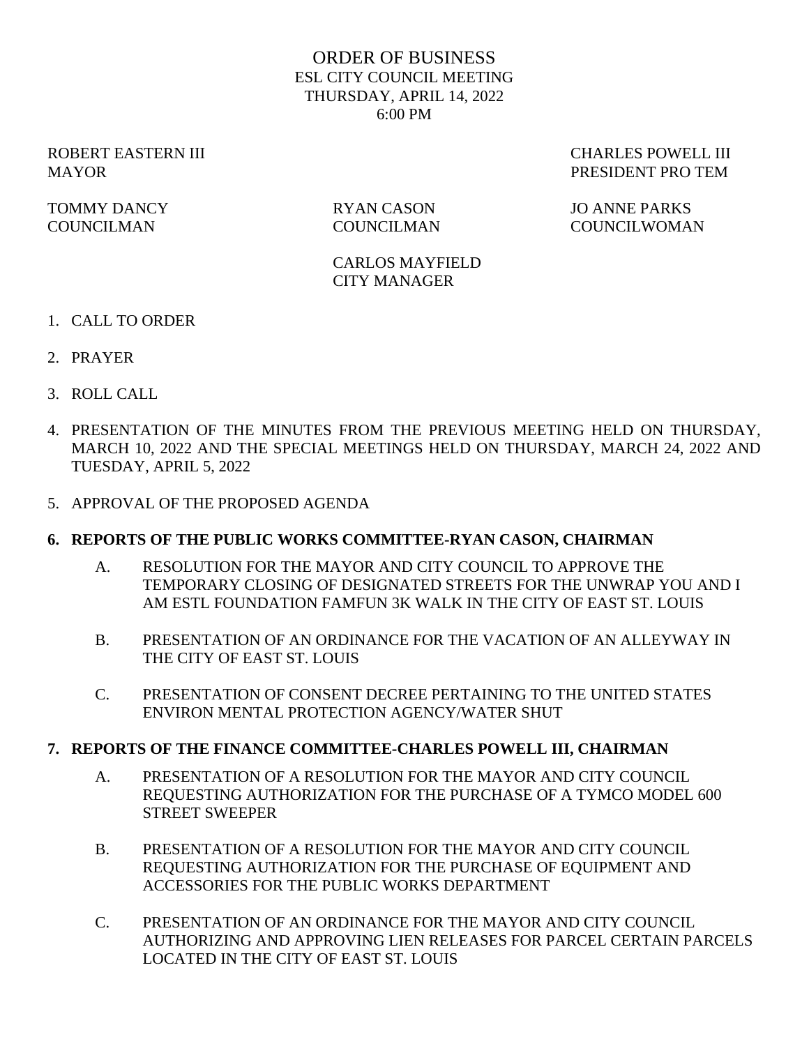## ORDER OF BUSINESS ESL CITY COUNCIL MEETING THURSDAY, APRIL 14, 2022 6:00 PM

TOMMY DANCY RYAN CASON JO ANNE PARKS COUNCILMAN COUNCILMAN COUNCILWOMAN

ROBERT EASTERN III CHARLES POWELL III MAYOR PRESIDENT PRO TEM

> CARLOS MAYFIELD CITY MANAGER

- 1. CALL TO ORDER
- 2. PRAYER
- 3. ROLL CALL
- 4. PRESENTATION OF THE MINUTES FROM THE PREVIOUS MEETING HELD ON THURSDAY, MARCH 10, 2022 AND THE SPECIAL MEETINGS HELD ON THURSDAY, MARCH 24, 2022 AND TUESDAY, APRIL 5, 2022
- 5. APPROVAL OF THE PROPOSED AGENDA

#### **6. REPORTS OF THE PUBLIC WORKS COMMITTEE-RYAN CASON, CHAIRMAN**

- A. RESOLUTION FOR THE MAYOR AND CITY COUNCIL TO APPROVE THE TEMPORARY CLOSING OF DESIGNATED STREETS FOR THE UNWRAP YOU AND I AM ESTL FOUNDATION FAMFUN 3K WALK IN THE CITY OF EAST ST. LOUIS
- B. PRESENTATION OF AN ORDINANCE FOR THE VACATION OF AN ALLEYWAY IN THE CITY OF EAST ST. LOUIS
- C. PRESENTATION OF CONSENT DECREE PERTAINING TO THE UNITED STATES ENVIRON MENTAL PROTECTION AGENCY/WATER SHUT

#### **7. REPORTS OF THE FINANCE COMMITTEE-CHARLES POWELL III, CHAIRMAN**

- A. PRESENTATION OF A RESOLUTION FOR THE MAYOR AND CITY COUNCIL REQUESTING AUTHORIZATION FOR THE PURCHASE OF A TYMCO MODEL 600 STREET SWEEPER
- B. PRESENTATION OF A RESOLUTION FOR THE MAYOR AND CITY COUNCIL REQUESTING AUTHORIZATION FOR THE PURCHASE OF EQUIPMENT AND ACCESSORIES FOR THE PUBLIC WORKS DEPARTMENT
- C. PRESENTATION OF AN ORDINANCE FOR THE MAYOR AND CITY COUNCIL AUTHORIZING AND APPROVING LIEN RELEASES FOR PARCEL CERTAIN PARCELS LOCATED IN THE CITY OF EAST ST. LOUIS